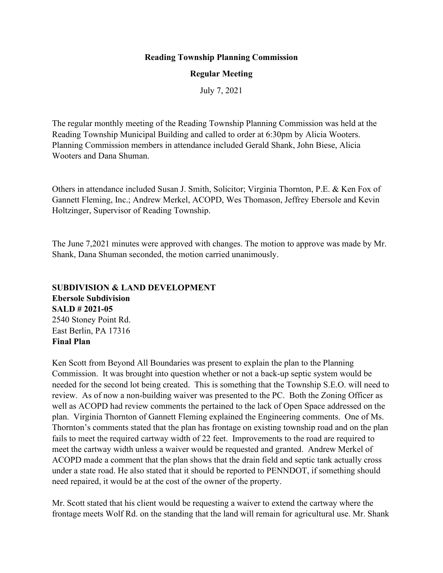#### **Reading Township Planning Commission**

#### **Regular Meeting**

July 7, 2021

The regular monthly meeting of the Reading Township Planning Commission was held at the Reading Township Municipal Building and called to order at 6:30pm by Alicia Wooters. Planning Commission members in attendance included Gerald Shank, John Biese, Alicia Wooters and Dana Shuman.

Others in attendance included Susan J. Smith, Solicitor; Virginia Thornton, P.E. & Ken Fox of Gannett Fleming, Inc.; Andrew Merkel, ACOPD, Wes Thomason, Jeffrey Ebersole and Kevin Holtzinger, Supervisor of Reading Township.

The June 7,2021 minutes were approved with changes. The motion to approve was made by Mr. Shank, Dana Shuman seconded, the motion carried unanimously.

**SUBDIVISION & LAND DEVELOPMENT Ebersole Subdivision SALD # 2021-05** 2540 Stoney Point Rd. East Berlin, PA 17316 **Final Plan**

Ken Scott from Beyond All Boundaries was present to explain the plan to the Planning Commission. It was brought into question whether or not a back-up septic system would be needed for the second lot being created. This is something that the Township S.E.O. will need to review. As of now a non-building waiver was presented to the PC. Both the Zoning Officer as well as ACOPD had review comments the pertained to the lack of Open Space addressed on the plan. Virginia Thornton of Gannett Fleming explained the Engineering comments. One of Ms. Thornton's comments stated that the plan has frontage on existing township road and on the plan fails to meet the required cartway width of 22 feet. Improvements to the road are required to meet the cartway width unless a waiver would be requested and granted. Andrew Merkel of ACOPD made a comment that the plan shows that the drain field and septic tank actually cross under a state road. He also stated that it should be reported to PENNDOT, if something should need repaired, it would be at the cost of the owner of the property.

Mr. Scott stated that his client would be requesting a waiver to extend the cartway where the frontage meets Wolf Rd. on the standing that the land will remain for agricultural use. Mr. Shank